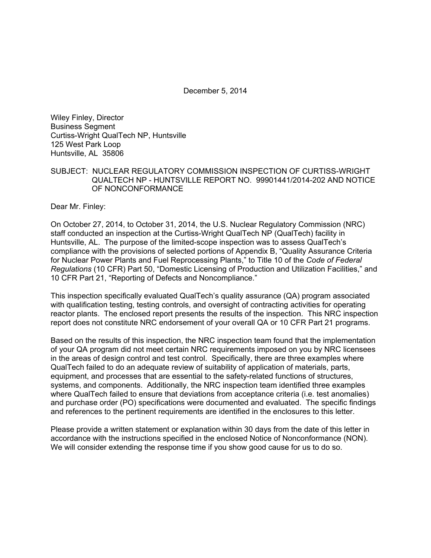December 5, 2014

Wiley Finley, Director Business Segment Curtiss-Wright QualTech NP, Huntsville 125 West Park Loop Huntsville, AL 35806

#### SUBJECT: NUCLEAR REGULATORY COMMISSION INSPECTION OF CURTISS-WRIGHT QUALTECH NP - HUNTSVILLE REPORT NO. 99901441/2014-202 AND NOTICE OF NONCONFORMANCE

Dear Mr. Finley:

On October 27, 2014, to October 31, 2014, the U.S. Nuclear Regulatory Commission (NRC) staff conducted an inspection at the Curtiss-Wright QualTech NP (QualTech) facility in Huntsville, AL. The purpose of the limited-scope inspection was to assess QualTech's compliance with the provisions of selected portions of Appendix B, "Quality Assurance Criteria for Nuclear Power Plants and Fuel Reprocessing Plants," to Title 10 of the *Code of Federal Regulations* (10 CFR) Part 50, "Domestic Licensing of Production and Utilization Facilities," and 10 CFR Part 21, "Reporting of Defects and Noncompliance."

This inspection specifically evaluated QualTech's quality assurance (QA) program associated with qualification testing, testing controls, and oversight of contracting activities for operating reactor plants. The enclosed report presents the results of the inspection. This NRC inspection report does not constitute NRC endorsement of your overall QA or 10 CFR Part 21 programs.

Based on the results of this inspection, the NRC inspection team found that the implementation of your QA program did not meet certain NRC requirements imposed on you by NRC licensees in the areas of design control and test control. Specifically, there are three examples where QualTech failed to do an adequate review of suitability of application of materials, parts, equipment, and processes that are essential to the safety-related functions of structures, systems, and components. Additionally, the NRC inspection team identified three examples where QualTech failed to ensure that deviations from acceptance criteria (i.e. test anomalies) and purchase order (PO) specifications were documented and evaluated. The specific findings and references to the pertinent requirements are identified in the enclosures to this letter.

Please provide a written statement or explanation within 30 days from the date of this letter in accordance with the instructions specified in the enclosed Notice of Nonconformance (NON). We will consider extending the response time if you show good cause for us to do so.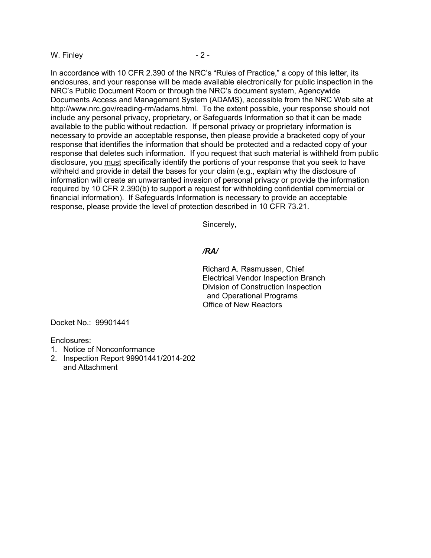#### W. Finley  $-2 -$

In accordance with 10 CFR 2.390 of the NRC's "Rules of Practice," a copy of this letter, its enclosures, and your response will be made available electronically for public inspection in the NRC's Public Document Room or through the NRC's document system, Agencywide Documents Access and Management System (ADAMS), accessible from the NRC Web site at http://www.nrc.gov/reading-rm/adams.html. To the extent possible, your response should not include any personal privacy, proprietary, or Safeguards Information so that it can be made available to the public without redaction. If personal privacy or proprietary information is necessary to provide an acceptable response, then please provide a bracketed copy of your response that identifies the information that should be protected and a redacted copy of your response that deletes such information. If you request that such material is withheld from public disclosure, you must specifically identify the portions of your response that you seek to have withheld and provide in detail the bases for your claim (e.g., explain why the disclosure of information will create an unwarranted invasion of personal privacy or provide the information required by 10 CFR 2.390(b) to support a request for withholding confidential commercial or financial information). If Safeguards Information is necessary to provide an acceptable response, please provide the level of protection described in 10 CFR 73.21.

Sincerely,

#### */RA/*

Richard A. Rasmussen, Chief Electrical Vendor Inspection Branch Division of Construction Inspection and Operational Programs Office of New Reactors

Docket No.: 99901441

Enclosures:

- 1. Notice of Nonconformance
- 2. Inspection Report 99901441/2014-202 and Attachment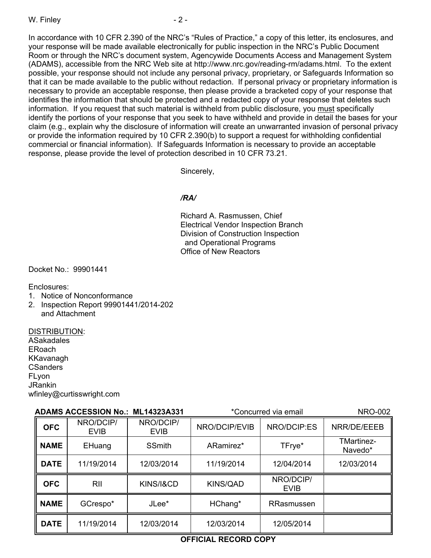In accordance with 10 CFR 2.390 of the NRC's "Rules of Practice," a copy of this letter, its enclosures, and your response will be made available electronically for public inspection in the NRC's Public Document Room or through the NRC's document system, Agencywide Documents Access and Management System (ADAMS), accessible from the NRC Web site at http://www.nrc.gov/reading-rm/adams.html. To the extent possible, your response should not include any personal privacy, proprietary, or Safeguards Information so that it can be made available to the public without redaction. If personal privacy or proprietary information is necessary to provide an acceptable response, then please provide a bracketed copy of your response that identifies the information that should be protected and a redacted copy of your response that deletes such information. If you request that such material is withheld from public disclosure, you must specifically identify the portions of your response that you seek to have withheld and provide in detail the bases for your claim (e.g., explain why the disclosure of information will create an unwarranted invasion of personal privacy or provide the information required by 10 CFR 2.390(b) to support a request for withholding confidential commercial or financial information). If Safeguards Information is necessary to provide an acceptable response, please provide the level of protection described in 10 CFR 73.21.

Sincerely,

## */RA/*

Richard A. Rasmussen, Chief Electrical Vendor Inspection Branch Division of Construction Inspection and Operational Programs Office of New Reactors

Docket No.: 99901441

Enclosures:

- 1. Notice of Nonconformance
- 2. Inspection Report 99901441/2014-202 and Attachment

#### DISTRIBUTION:

ASakadales ERoach KKavanagh **CSanders** FLyon JRankin wfinley@curtisswright.com

| ADAMS ACCESSION No.: ML14323A331 |                          | *Concurred via email     |                 | <b>NRO-002</b>           |                              |
|----------------------------------|--------------------------|--------------------------|-----------------|--------------------------|------------------------------|
| <b>OFC</b>                       | NRO/DCIP/<br><b>EVIB</b> | NRO/DCIP/<br><b>EVIB</b> | NRO/DCIP/EVIB   | NRO/DCIP:ES              | NRR/DE/EEEB                  |
| <b>NAME</b>                      | EHuang                   | <b>SSmith</b>            | ARamirez*       | TFrye*                   | <b>TMartinez-</b><br>Navedo* |
| <b>DATE</b>                      | 11/19/2014               | 12/03/2014               | 11/19/2014      | 12/04/2014               | 12/03/2014                   |
| <b>OFC</b>                       | <b>RII</b>               | KINS/I&CD                | <b>KINS/QAD</b> | NRO/DCIP/<br><b>EVIB</b> |                              |
| <b>NAME</b>                      | GCrespo*                 | JLee*                    | HChang*         | RRasmussen               |                              |
| <b>DATE</b>                      | 11/19/2014               | 12/03/2014               | 12/03/2014      | 12/05/2014               |                              |

# **OFFICIAL RECORD COPY**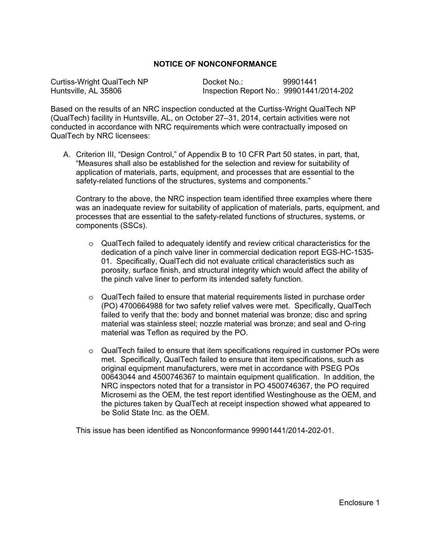#### **NOTICE OF NONCONFORMANCE**

Curtiss-Wright QualTech NP Docket No.: 99901441 Huntsville, AL 35806 Inspection Report No.: 99901441/2014-202

Based on the results of an NRC inspection conducted at the Curtiss-Wright QualTech NP (QualTech) facility in Huntsville, AL, on October 27–31, 2014, certain activities were not conducted in accordance with NRC requirements which were contractually imposed on QualTech by NRC licensees:

A. Criterion III, "Design Control," of Appendix B to 10 CFR Part 50 states, in part, that, "Measures shall also be established for the selection and review for suitability of application of materials, parts, equipment, and processes that are essential to the safety-related functions of the structures, systems and components."

Contrary to the above, the NRC inspection team identified three examples where there was an inadequate review for suitability of application of materials, parts, equipment, and processes that are essential to the safety-related functions of structures, systems, or components (SSCs).

- $\circ$  QualTech failed to adequately identify and review critical characteristics for the dedication of a pinch valve liner in commercial dedication report EGS-HC-1535- 01. Specifically, QualTech did not evaluate critical characteristics such as porosity, surface finish, and structural integrity which would affect the ability of the pinch valve liner to perform its intended safety function.
- $\circ$  QualTech failed to ensure that material requirements listed in purchase order (PO) 4700664988 for two safety relief valves were met. Specifically, QualTech failed to verify that the: body and bonnet material was bronze; disc and spring material was stainless steel; nozzle material was bronze; and seal and O-ring material was Teflon as required by the PO.
- o QualTech failed to ensure that item specifications required in customer POs were met. Specifically, QualTech failed to ensure that item specifications, such as original equipment manufacturers, were met in accordance with PSEG POs 00643044 and 4500746367 to maintain equipment qualification. In addition, the NRC inspectors noted that for a transistor in PO 4500746367, the PO required Microsemi as the OEM, the test report identified Westinghouse as the OEM, and the pictures taken by QualTech at receipt inspection showed what appeared to be Solid State Inc. as the OEM.

This issue has been identified as Nonconformance 99901441/2014-202-01.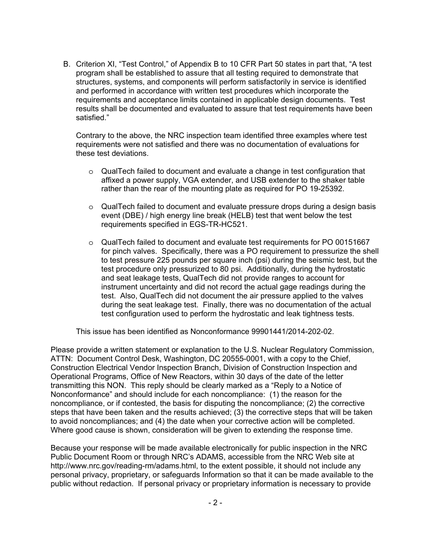B. Criterion XI, "Test Control," of Appendix B to 10 CFR Part 50 states in part that, "A test program shall be established to assure that all testing required to demonstrate that structures, systems, and components will perform satisfactorily in service is identified and performed in accordance with written test procedures which incorporate the requirements and acceptance limits contained in applicable design documents. Test results shall be documented and evaluated to assure that test requirements have been satisfied."

Contrary to the above, the NRC inspection team identified three examples where test requirements were not satisfied and there was no documentation of evaluations for these test deviations.

- o QualTech failed to document and evaluate a change in test configuration that affixed a power supply, VGA extender, and USB extender to the shaker table rather than the rear of the mounting plate as required for PO 19-25392.
- o QualTech failed to document and evaluate pressure drops during a design basis event (DBE) / high energy line break (HELB) test that went below the test requirements specified in EGS-TR-HC521.
- o QualTech failed to document and evaluate test requirements for PO 00151667 for pinch valves. Specifically, there was a PO requirement to pressurize the shell to test pressure 225 pounds per square inch (psi) during the seismic test, but the test procedure only pressurized to 80 psi. Additionally, during the hydrostatic and seat leakage tests, QualTech did not provide ranges to account for instrument uncertainty and did not record the actual gage readings during the test. Also, QualTech did not document the air pressure applied to the valves during the seat leakage test. Finally, there was no documentation of the actual test configuration used to perform the hydrostatic and leak tightness tests.

This issue has been identified as Nonconformance 99901441/2014-202-02.

Please provide a written statement or explanation to the U.S. Nuclear Regulatory Commission, ATTN: Document Control Desk, Washington, DC 20555-0001, with a copy to the Chief, Construction Electrical Vendor Inspection Branch, Division of Construction Inspection and Operational Programs, Office of New Reactors, within 30 days of the date of the letter transmitting this NON. This reply should be clearly marked as a "Reply to a Notice of Nonconformance" and should include for each noncompliance: (1) the reason for the noncompliance, or if contested, the basis for disputing the noncompliance; (2) the corrective steps that have been taken and the results achieved; (3) the corrective steps that will be taken to avoid noncompliances; and (4) the date when your corrective action will be completed. Where good cause is shown, consideration will be given to extending the response time.

Because your response will be made available electronically for public inspection in the NRC Public Document Room or through NRC's ADAMS, accessible from the NRC Web site at http://www.nrc.gov/reading-rm/adams.html, to the extent possible, it should not include any personal privacy, proprietary, or safeguards Information so that it can be made available to the public without redaction. If personal privacy or proprietary information is necessary to provide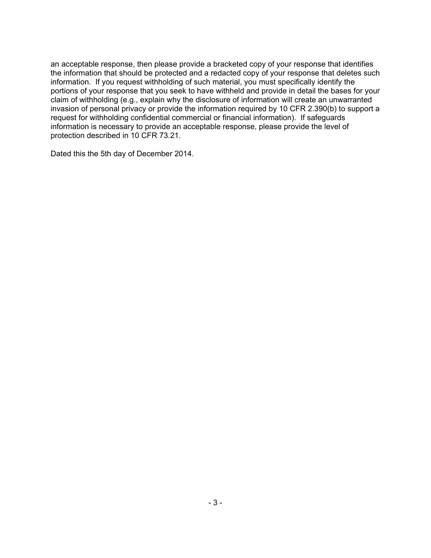an acceptable response, then please provide a bracketed copy of your response that identifies the information that should be protected and a redacted copy of your response that deletes such information. If you request withholding of such material, you must specifically identify the portions of your response that you seek to have withheld and provide in detail the bases for your claim of withholding (e.g., explain why the disclosure of information will create an unwarranted invasion of personal privacy or provide the information required by 10 CFR 2.390(b) to support a request for withholding confidential commercial or financial information). If safeguards information is necessary to provide an acceptable response, please provide the level of protection described in 10 CFR 73.21.

Dated this the 5th day of December 2014.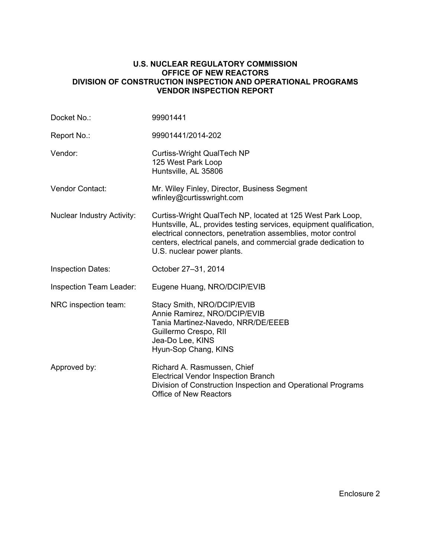#### **U.S. NUCLEAR REGULATORY COMMISSION OFFICE OF NEW REACTORS DIVISION OF CONSTRUCTION INSPECTION AND OPERATIONAL PROGRAMS VENDOR INSPECTION REPORT**

| Docket No.:                       | 99901441                                                                                                                                                                                                                                                                                          |
|-----------------------------------|---------------------------------------------------------------------------------------------------------------------------------------------------------------------------------------------------------------------------------------------------------------------------------------------------|
| Report No.:                       | 99901441/2014-202                                                                                                                                                                                                                                                                                 |
| Vendor:                           | <b>Curtiss-Wright QualTech NP</b><br>125 West Park Loop<br>Huntsville, AL 35806                                                                                                                                                                                                                   |
| <b>Vendor Contact:</b>            | Mr. Wiley Finley, Director, Business Segment<br>wfinley@curtisswright.com                                                                                                                                                                                                                         |
| <b>Nuclear Industry Activity:</b> | Curtiss-Wright QualTech NP, located at 125 West Park Loop,<br>Huntsville, AL, provides testing services, equipment qualification,<br>electrical connectors, penetration assemblies, motor control<br>centers, electrical panels, and commercial grade dedication to<br>U.S. nuclear power plants. |
| <b>Inspection Dates:</b>          | October 27-31, 2014                                                                                                                                                                                                                                                                               |
| Inspection Team Leader:           | Eugene Huang, NRO/DCIP/EVIB                                                                                                                                                                                                                                                                       |
| NRC inspection team:              | Stacy Smith, NRO/DCIP/EVIB<br>Annie Ramirez, NRO/DCIP/EVIB<br>Tania Martinez-Navedo, NRR/DE/EEEB<br>Guillermo Crespo, RII<br>Jea-Do Lee, KINS<br>Hyun-Sop Chang, KINS                                                                                                                             |
| Approved by:                      | Richard A. Rasmussen, Chief<br><b>Electrical Vendor Inspection Branch</b><br>Division of Construction Inspection and Operational Programs<br><b>Office of New Reactors</b>                                                                                                                        |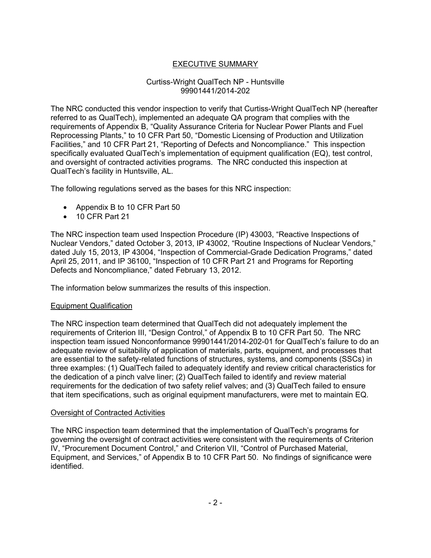# EXECUTIVE SUMMARY

#### Curtiss-Wright QualTech NP - Huntsville 99901441/2014-202

The NRC conducted this vendor inspection to verify that Curtiss-Wright QualTech NP (hereafter referred to as QualTech), implemented an adequate QA program that complies with the requirements of Appendix B, "Quality Assurance Criteria for Nuclear Power Plants and Fuel Reprocessing Plants," to 10 CFR Part 50, "Domestic Licensing of Production and Utilization Facilities," and 10 CFR Part 21, "Reporting of Defects and Noncompliance." This inspection specifically evaluated QualTech's implementation of equipment qualification (EQ), test control, and oversight of contracted activities programs. The NRC conducted this inspection at QualTech's facility in Huntsville, AL.

The following regulations served as the bases for this NRC inspection:

- Appendix B to 10 CFR Part 50
- 10 CFR Part 21

The NRC inspection team used Inspection Procedure (IP) 43003, "Reactive Inspections of Nuclear Vendors," dated October 3, 2013, IP 43002, "Routine Inspections of Nuclear Vendors," dated July 15, 2013, IP 43004, "Inspection of Commercial-Grade Dedication Programs," dated April 25, 2011, and IP 36100, "Inspection of 10 CFR Part 21 and Programs for Reporting Defects and Noncompliance," dated February 13, 2012.

The information below summarizes the results of this inspection.

#### Equipment Qualification

The NRC inspection team determined that QualTech did not adequately implement the requirements of Criterion III, "Design Control," of Appendix B to 10 CFR Part 50. The NRC inspection team issued Nonconformance 99901441/2014-202-01 for QualTech's failure to do an adequate review of suitability of application of materials, parts, equipment, and processes that are essential to the safety-related functions of structures, systems, and components (SSCs) in three examples: (1) QualTech failed to adequately identify and review critical characteristics for the dedication of a pinch valve liner; (2) QualTech failed to identify and review material requirements for the dedication of two safety relief valves; and (3) QualTech failed to ensure that item specifications, such as original equipment manufacturers, were met to maintain EQ.

#### Oversight of Contracted Activities

The NRC inspection team determined that the implementation of QualTech's programs for governing the oversight of contract activities were consistent with the requirements of Criterion IV, "Procurement Document Control," and Criterion VII, "Control of Purchased Material, Equipment, and Services," of Appendix B to 10 CFR Part 50. No findings of significance were identified.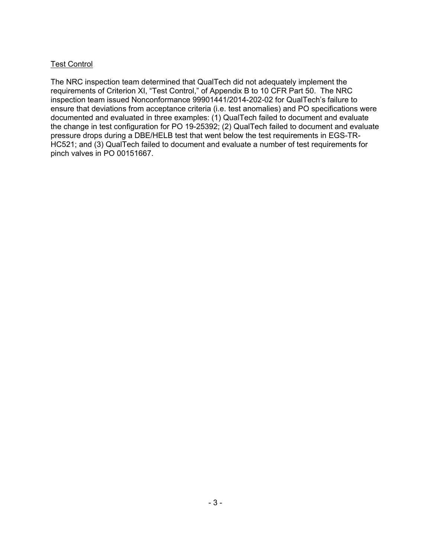## Test Control

The NRC inspection team determined that QualTech did not adequately implement the requirements of Criterion XI, "Test Control," of Appendix B to 10 CFR Part 50. The NRC inspection team issued Nonconformance 99901441/2014-202-02 for QualTech's failure to ensure that deviations from acceptance criteria (i.e. test anomalies) and PO specifications were documented and evaluated in three examples: (1) QualTech failed to document and evaluate the change in test configuration for PO 19-25392; (2) QualTech failed to document and evaluate pressure drops during a DBE/HELB test that went below the test requirements in EGS-TR-HC521; and (3) QualTech failed to document and evaluate a number of test requirements for pinch valves in PO 00151667.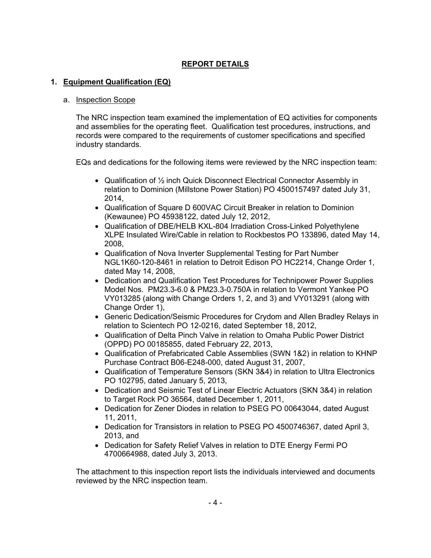# **REPORT DETAILS**

## **1. Equipment Qualification (EQ)**

#### a. Inspection Scope

The NRC inspection team examined the implementation of EQ activities for components and assemblies for the operating fleet. Qualification test procedures, instructions, and records were compared to the requirements of customer specifications and specified industry standards.

EQs and dedications for the following items were reviewed by the NRC inspection team:

- Qualification of  $\frac{1}{2}$  inch Quick Disconnect Electrical Connector Assembly in relation to Dominion (Millstone Power Station) PO 4500157497 dated July 31, 2014,
- Qualification of Square D 600VAC Circuit Breaker in relation to Dominion (Kewaunee) PO 45938122, dated July 12, 2012,
- Qualification of DBE/HELB KXL-804 Irradiation Cross-Linked Polyethylene XLPE Insulated Wire/Cable in relation to Rockbestos PO 133896, dated May 14, 2008,
- Qualification of Nova Inverter Supplemental Testing for Part Number NGL1K60-120-8461 in relation to Detroit Edison PO HC2214, Change Order 1, dated May 14, 2008,
- Dedication and Qualification Test Procedures for Technipower Power Supplies Model Nos. PM23.3-6.0 & PM23.3-0.750A in relation to Vermont Yankee PO VY013285 (along with Change Orders 1, 2, and 3) and VY013291 (along with Change Order 1),
- Generic Dedication/Seismic Procedures for Crydom and Allen Bradley Relays in relation to Scientech PO 12-0216, dated September 18, 2012,
- Qualification of Delta Pinch Valve in relation to Omaha Public Power District (OPPD) PO 00185855, dated February 22, 2013,
- Qualification of Prefabricated Cable Assemblies (SWN 1&2) in relation to KHNP Purchase Contract B06-E248-000, dated August 31, 2007,
- Qualification of Temperature Sensors (SKN 3&4) in relation to Ultra Electronics PO 102795, dated January 5, 2013,
- Dedication and Seismic Test of Linear Electric Actuators (SKN 3&4) in relation to Target Rock PO 36564, dated December 1, 2011,
- Dedication for Zener Diodes in relation to PSEG PO 00643044, dated August 11, 2011,
- Dedication for Transistors in relation to PSEG PO 4500746367, dated April 3, 2013, and
- Dedication for Safety Relief Valves in relation to DTE Energy Fermi PO 4700664988, dated July 3, 2013.

The attachment to this inspection report lists the individuals interviewed and documents reviewed by the NRC inspection team.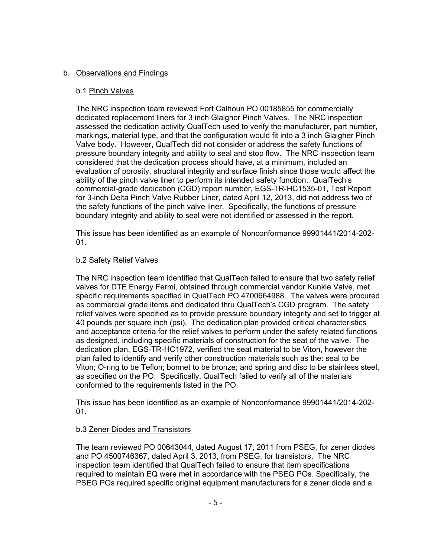## b. Observations and Findings

## b.1 Pinch Valves

The NRC inspection team reviewed Fort Calhoun PO 00185855 for commercially dedicated replacement liners for 3 inch Glaigher Pinch Valves. The NRC inspection assessed the dedication activity QualTech used to verify the manufacturer, part number, markings, material type, and that the configuration would fit into a 3 inch Glaigher Pinch Valve body. However, QualTech did not consider or address the safety functions of pressure boundary integrity and ability to seal and stop flow. The NRC inspection team considered that the dedication process should have, at a minimum, included an evaluation of porosity, structural integrity and surface finish since those would affect the ability of the pinch valve liner to perform its intended safety function. QualTech's commercial-grade dedication (CGD) report number, EGS-TR-HC1535-01, Test Report for 3-inch Delta Pinch Valve Rubber Liner, dated April 12, 2013, did not address two of the safety functions of the pinch valve liner. Specifically, the functions of pressure boundary integrity and ability to seal were not identified or assessed in the report.

This issue has been identified as an example of Nonconformance 99901441/2014-202-  $01<sub>1</sub>$ 

#### b.2 Safety Relief Valves

The NRC inspection team identified that QualTech failed to ensure that two safety relief valves for DTE Energy Fermi, obtained through commercial vendor Kunkle Valve, met specific requirements specified in QualTech PO 4700664988. The valves were procured as commercial grade items and dedicated thru QualTech's CGD program. The safety relief valves were specified as to provide pressure boundary integrity and set to trigger at 40 pounds per square inch (psi). The dedication plan provided critical characteristics and acceptance criteria for the relief valves to perform under the safety related functions as designed, including specific materials of construction for the seat of the valve. The dedication plan, EGS-TR-HC1972, verified the seat material to be Viton, however the plan failed to identify and verify other construction materials such as the: seal to be Viton; O-ring to be Teflon; bonnet to be bronze; and spring and disc to be stainless steel, as specified on the PO. Specifically, QualTech failed to verify all of the materials conformed to the requirements listed in the PO.

This issue has been identified as an example of Nonconformance 99901441/2014-202- 01.

#### b.3 Zener Diodes and Transistors

The team reviewed PO 00643044, dated August 17, 2011 from PSEG, for zener diodes and PO 4500746367, dated April 3, 2013, from PSEG, for transistors. The NRC inspection team identified that QualTech failed to ensure that item specifications required to maintain EQ were met in accordance with the PSEG POs. Specifically, the PSEG POs required specific original equipment manufacturers for a zener diode and a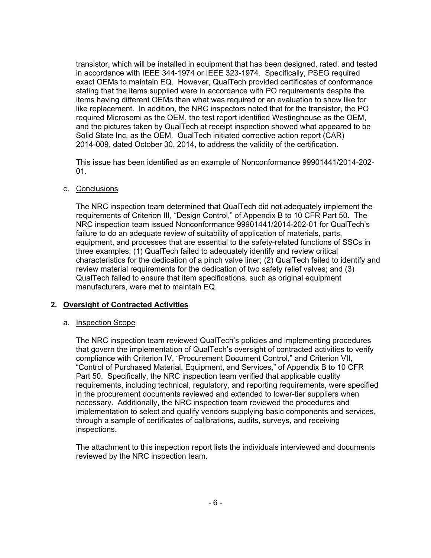transistor, which will be installed in equipment that has been designed, rated, and tested in accordance with IEEE 344-1974 or IEEE 323-1974. Specifically, PSEG required exact OEMs to maintain EQ. However, QualTech provided certificates of conformance stating that the items supplied were in accordance with PO requirements despite the items having different OEMs than what was required or an evaluation to show like for like replacement. In addition, the NRC inspectors noted that for the transistor, the PO required Microsemi as the OEM, the test report identified Westinghouse as the OEM, and the pictures taken by QualTech at receipt inspection showed what appeared to be Solid State Inc. as the OEM. QualTech initiated corrective action report (CAR) 2014-009, dated October 30, 2014, to address the validity of the certification.

This issue has been identified as an example of Nonconformance 99901441/2014-202- 01.

#### c. Conclusions

The NRC inspection team determined that QualTech did not adequately implement the requirements of Criterion III, "Design Control," of Appendix B to 10 CFR Part 50. The NRC inspection team issued Nonconformance 99901441/2014-202-01 for QualTech's failure to do an adequate review of suitability of application of materials, parts, equipment, and processes that are essential to the safety-related functions of SSCs in three examples: (1) QualTech failed to adequately identify and review critical characteristics for the dedication of a pinch valve liner; (2) QualTech failed to identify and review material requirements for the dedication of two safety relief valves; and (3) QualTech failed to ensure that item specifications, such as original equipment manufacturers, were met to maintain EQ.

#### **2. Oversight of Contracted Activities**

#### a. Inspection Scope

The NRC inspection team reviewed QualTech's policies and implementing procedures that govern the implementation of QualTech's oversight of contracted activities to verify compliance with Criterion IV, "Procurement Document Control," and Criterion VII, "Control of Purchased Material, Equipment, and Services," of Appendix B to 10 CFR Part 50. Specifically, the NRC inspection team verified that applicable quality requirements, including technical, regulatory, and reporting requirements, were specified in the procurement documents reviewed and extended to lower-tier suppliers when necessary. Additionally, the NRC inspection team reviewed the procedures and implementation to select and qualify vendors supplying basic components and services, through a sample of certificates of calibrations, audits, surveys, and receiving inspections.

The attachment to this inspection report lists the individuals interviewed and documents reviewed by the NRC inspection team.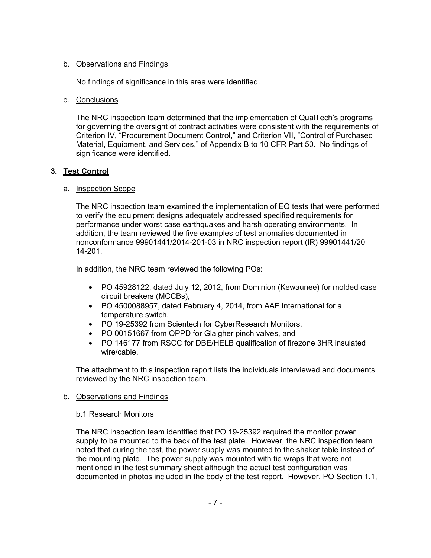## b. Observations and Findings

No findings of significance in this area were identified.

## c. Conclusions

The NRC inspection team determined that the implementation of QualTech's programs for governing the oversight of contract activities were consistent with the requirements of Criterion IV, "Procurement Document Control," and Criterion VII, "Control of Purchased Material, Equipment, and Services," of Appendix B to 10 CFR Part 50. No findings of significance were identified.

# **3. Test Control**

# a. Inspection Scope

The NRC inspection team examined the implementation of EQ tests that were performed to verify the equipment designs adequately addressed specified requirements for performance under worst case earthquakes and harsh operating environments. In addition, the team reviewed the five examples of test anomalies documented in nonconformance 99901441/2014-201-03 in NRC inspection report (IR) 99901441/20 14-201.

In addition, the NRC team reviewed the following POs:

- PO 45928122, dated July 12, 2012, from Dominion (Kewaunee) for molded case circuit breakers (MCCBs),
- PO 4500088957, dated February 4, 2014, from AAF International for a temperature switch,
- PO 19-25392 from Scientech for CyberResearch Monitors,
- PO 00151667 from OPPD for Glaigher pinch valves, and
- PO 146177 from RSCC for DBE/HELB qualification of firezone 3HR insulated wire/cable.

The attachment to this inspection report lists the individuals interviewed and documents reviewed by the NRC inspection team.

# b. Observations and Findings

# b.1 Research Monitors

The NRC inspection team identified that PO 19-25392 required the monitor power supply to be mounted to the back of the test plate. However, the NRC inspection team noted that during the test, the power supply was mounted to the shaker table instead of the mounting plate. The power supply was mounted with tie wraps that were not mentioned in the test summary sheet although the actual test configuration was documented in photos included in the body of the test report. However, PO Section 1.1,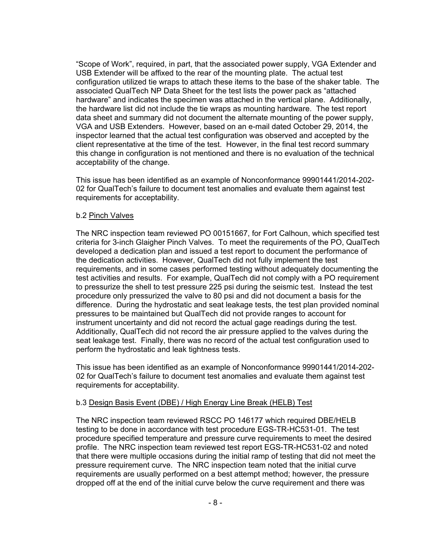"Scope of Work", required, in part, that the associated power supply, VGA Extender and USB Extender will be affixed to the rear of the mounting plate. The actual test configuration utilized tie wraps to attach these items to the base of the shaker table. The associated QualTech NP Data Sheet for the test lists the power pack as "attached hardware" and indicates the specimen was attached in the vertical plane. Additionally, the hardware list did not include the tie wraps as mounting hardware. The test report data sheet and summary did not document the alternate mounting of the power supply, VGA and USB Extenders. However, based on an e-mail dated October 29, 2014, the inspector learned that the actual test configuration was observed and accepted by the client representative at the time of the test. However, in the final test record summary this change in configuration is not mentioned and there is no evaluation of the technical acceptability of the change.

This issue has been identified as an example of Nonconformance 99901441/2014-202- 02 for QualTech's failure to document test anomalies and evaluate them against test requirements for acceptability.

#### b.2 Pinch Valves

The NRC inspection team reviewed PO 00151667, for Fort Calhoun, which specified test criteria for 3-inch Glaigher Pinch Valves. To meet the requirements of the PO, QualTech developed a dedication plan and issued a test report to document the performance of the dedication activities. However, QualTech did not fully implement the test requirements, and in some cases performed testing without adequately documenting the test activities and results. For example, QualTech did not comply with a PO requirement to pressurize the shell to test pressure 225 psi during the seismic test. Instead the test procedure only pressurized the valve to 80 psi and did not document a basis for the difference. During the hydrostatic and seat leakage tests, the test plan provided nominal pressures to be maintained but QualTech did not provide ranges to account for instrument uncertainty and did not record the actual gage readings during the test. Additionally, QualTech did not record the air pressure applied to the valves during the seat leakage test. Finally, there was no record of the actual test configuration used to perform the hydrostatic and leak tightness tests.

This issue has been identified as an example of Nonconformance 99901441/2014-202- 02 for QualTech's failure to document test anomalies and evaluate them against test requirements for acceptability.

#### b.3 Design Basis Event (DBE) / High Energy Line Break (HELB) Test

The NRC inspection team reviewed RSCC PO 146177 which required DBE/HELB testing to be done in accordance with test procedure EGS-TR-HC531-01. The test procedure specified temperature and pressure curve requirements to meet the desired profile. The NRC inspection team reviewed test report EGS-TR-HC531-02 and noted that there were multiple occasions during the initial ramp of testing that did not meet the pressure requirement curve. The NRC inspection team noted that the initial curve requirements are usually performed on a best attempt method; however, the pressure dropped off at the end of the initial curve below the curve requirement and there was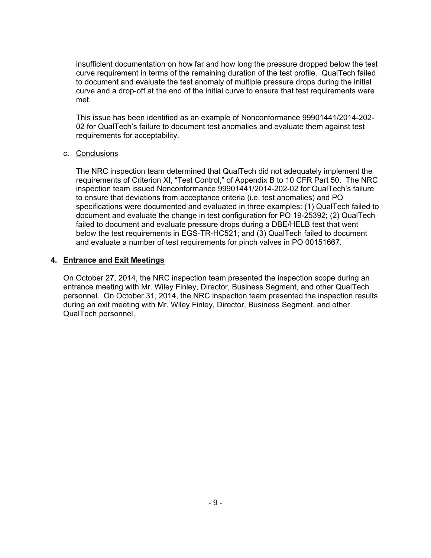insufficient documentation on how far and how long the pressure dropped below the test curve requirement in terms of the remaining duration of the test profile. QualTech failed to document and evaluate the test anomaly of multiple pressure drops during the initial curve and a drop-off at the end of the initial curve to ensure that test requirements were met.

This issue has been identified as an example of Nonconformance 99901441/2014-202- 02 for QualTech's failure to document test anomalies and evaluate them against test requirements for acceptability.

#### c. Conclusions

The NRC inspection team determined that QualTech did not adequately implement the requirements of Criterion XI, "Test Control," of Appendix B to 10 CFR Part 50. The NRC inspection team issued Nonconformance 99901441/2014-202-02 for QualTech's failure to ensure that deviations from acceptance criteria (i.e. test anomalies) and PO specifications were documented and evaluated in three examples: (1) QualTech failed to document and evaluate the change in test configuration for PO 19-25392; (2) QualTech failed to document and evaluate pressure drops during a DBE/HELB test that went below the test requirements in EGS-TR-HC521; and (3) QualTech failed to document and evaluate a number of test requirements for pinch valves in PO 00151667.

#### **4. Entrance and Exit Meetings**

On October 27, 2014, the NRC inspection team presented the inspection scope during an entrance meeting with Mr. Wiley Finley, Director, Business Segment, and other QualTech personnel. On October 31, 2014, the NRC inspection team presented the inspection results during an exit meeting with Mr. Wiley Finley, Director, Business Segment, and other QualTech personnel.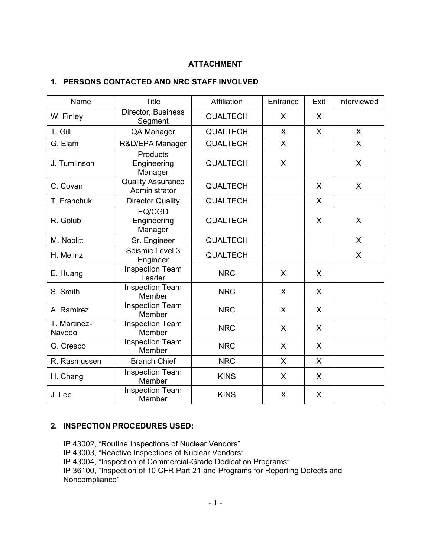# **ATTACHMENT**

## **1. PERSONS CONTACTED AND NRC STAFF INVOLVED**

| Name                   | <b>Title</b>                       | Affiliation     | Entrance | Exit    | Interviewed  |
|------------------------|------------------------------------|-----------------|----------|---------|--------------|
| W. Finley              | Director, Business<br>Segment      | <b>QUALTECH</b> | X        | X       |              |
| T. Gill                | QA Manager                         | <b>QUALTECH</b> | X        | X       | $\mathsf{X}$ |
| G. Elam                | R&D/EPA Manager                    | <b>QUALTECH</b> | X        |         | X            |
| J. Tumlinson           | Products<br>Engineering<br>Manager | <b>QUALTECH</b> | X        |         | X            |
| C. Covan               | Quality Assurance<br>Administrator | <b>QUALTECH</b> |          | X       | X            |
| T. Franchuk            | <b>Director Quality</b>            | <b>QUALTECH</b> |          | X       |              |
| R. Golub               | EQ/CGD<br>Engineering<br>Manager   | <b>QUALTECH</b> |          | X       | X            |
| M. Noblitt             | Sr. Engineer                       | <b>QUALTECH</b> |          |         | $\mathsf{X}$ |
| H. Melinz              | Seismic Level 3<br>Engineer        | <b>QUALTECH</b> |          |         | X            |
| E. Huang               | <b>Inspection Team</b><br>Leader   | <b>NRC</b>      | X        | X       |              |
| S. Smith               | <b>Inspection Team</b><br>Member   | <b>NRC</b>      | X        | X       |              |
| A. Ramirez             | <b>Inspection Team</b><br>Member   | <b>NRC</b>      | X        | X       |              |
| T. Martinez-<br>Navedo | <b>Inspection Team</b><br>Member   | <b>NRC</b>      | X        | X       |              |
| G. Crespo              | <b>Inspection Team</b><br>Member   | <b>NRC</b>      | X        | $\sf X$ |              |
| R. Rasmussen           | <b>Branch Chief</b>                | <b>NRC</b>      | X        | X       |              |
| H. Chang               | <b>Inspection Team</b><br>Member   | <b>KINS</b>     | X        | X       |              |
| J. Lee                 | <b>Inspection Team</b><br>Member   | <b>KINS</b>     | X        | X       |              |

# **2. INSPECTION PROCEDURES USED:**

IP 43002, "Routine Inspections of Nuclear Vendors" IP 43003, "Reactive Inspections of Nuclear Vendors" IP 43004, "Inspection of Commercial-Grade Dedication Programs" IP 36100, "Inspection of 10 CFR Part 21 and Programs for Reporting Defects and Noncompliance"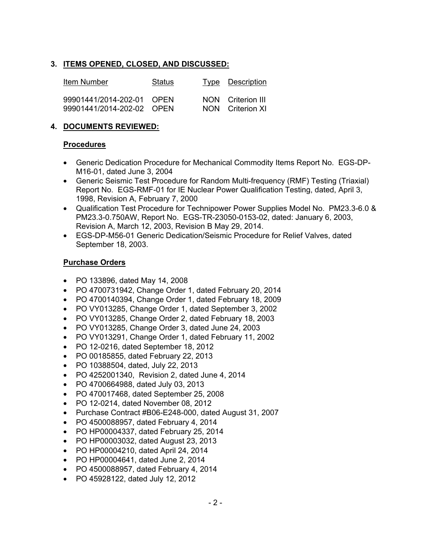## **3. ITEMS OPENED, CLOSED, AND DISCUSSED:**

| Item Number                                            | Status | Type Description                      |
|--------------------------------------------------------|--------|---------------------------------------|
| 99901441/2014-202-01 OPEN<br>99901441/2014-202-02 OPEN |        | NON Criterion III<br>NON Criterion XI |

## **4. DOCUMENTS REVIEWED:**

#### **Procedures**

- Generic Dedication Procedure for Mechanical Commodity Items Report No. EGS-DP-M16-01, dated June 3, 2004
- Generic Seismic Test Procedure for Random Multi-frequency (RMF) Testing (Triaxial) Report No. EGS-RMF-01 for IE Nuclear Power Qualification Testing, dated, April 3, 1998, Revision A, February 7, 2000
- Qualification Test Procedure for Technipower Power Supplies Model No. PM23.3-6.0 & PM23.3-0.750AW, Report No. EGS-TR-23050-0153-02, dated: January 6, 2003, Revision A, March 12, 2003, Revision B May 29, 2014.
- EGS-DP-M56-01 Generic Dedication/Seismic Procedure for Relief Valves, dated September 18, 2003.

## **Purchase Orders**

- PO 133896, dated May 14, 2008
- PO 4700731942, Change Order 1, dated February 20, 2014
- PO 4700140394, Change Order 1, dated February 18, 2009
- PO VY013285, Change Order 1, dated September 3, 2002
- PO VY013285, Change Order 2, dated February 18, 2003
- PO VY013285, Change Order 3, dated June 24, 2003
- PO VY013291, Change Order 1, dated February 11, 2002
- PO 12-0216, dated September 18, 2012
- PO 00185855, dated February 22, 2013
- PO 10388504, dated, July 22, 2013
- PO 4252001340, Revision 2, dated June 4, 2014
- PO 4700664988, dated July 03, 2013
- PO 470017468, dated September 25, 2008
- PO 12-0214, dated November 08, 2012
- Purchase Contract #B06-E248-000, dated August 31, 2007
- PO 4500088957, dated February 4, 2014
- PO HP00004337, dated February 25, 2014
- PO HP00003032, dated August 23, 2013
- PO HP00004210, dated April 24, 2014
- PO HP00004641, dated June 2, 2014
- PO 4500088957, dated February 4, 2014
- PO 45928122, dated July 12, 2012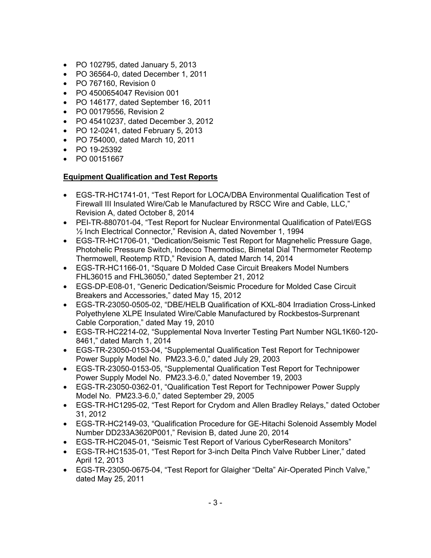- PO 102795, dated January 5, 2013
- PO 36564-0, dated December 1, 2011
- PO 767160, Revision 0
- PO 4500654047 Revision 001
- PO 146177, dated September 16, 2011
- PO 00179556, Revision 2
- PO 45410237, dated December 3, 2012
- PO 12-0241, dated February 5, 2013
- PO 754000, dated March 10, 2011
- PO 19-25392
- PO 00151667

# **Equipment Qualification and Test Reports**

- EGS-TR-HC1741-01, "Test Report for LOCA/DBA Environmental Qualification Test of Firewall III Insulated Wire/Cab le Manufactured by RSCC Wire and Cable, LLC," Revision A, dated October 8, 2014
- PEI-TR-880701-04, "Test Report for Nuclear Environmental Qualification of Patel/EGS ½ Inch Electrical Connector," Revision A, dated November 1, 1994
- EGS-TR-HC1706-01, "Dedication/Seismic Test Report for Magnehelic Pressure Gage, Photohelic Pressure Switch, Indecco Thermodisc, Bimetal Dial Thermometer Reotemp Thermowell, Reotemp RTD," Revision A, dated March 14, 2014
- EGS-TR-HC1166-01, "Square D Molded Case Circuit Breakers Model Numbers FHL36015 and FHL36050," dated September 21, 2012
- EGS-DP-E08-01, "Generic Dedication/Seismic Procedure for Molded Case Circuit Breakers and Accessories," dated May 15, 2012
- EGS-TR-23050-0505-02, "DBE/HELB Qualification of KXL-804 Irradiation Cross-Linked Polyethylene XLPE Insulated Wire/Cable Manufactured by Rockbestos-Surprenant Cable Corporation," dated May 19, 2010
- EGS-TR-HC2214-02, "Supplemental Nova Inverter Testing Part Number NGL1K60-120- 8461," dated March 1, 2014
- EGS-TR-23050-0153-04, "Supplemental Qualification Test Report for Technipower Power Supply Model No. PM23.3-6.0," dated July 29, 2003
- EGS-TR-23050-0153-05, "Supplemental Qualification Test Report for Technipower Power Supply Model No. PM23.3-6.0," dated November 19, 2003
- EGS-TR-23050-0362-01, "Qualification Test Report for Technipower Power Supply Model No. PM23.3-6.0," dated September 29, 2005
- EGS-TR-HC1295-02, "Test Report for Crydom and Allen Bradley Relays," dated October 31, 2012
- EGS-TR-HC2149-03, "Qualification Procedure for GE-Hitachi Solenoid Assembly Model Number DD233A3620P001," Revision B, dated June 20, 2014
- EGS-TR-HC2045-01, "Seismic Test Report of Various CyberResearch Monitors"
- EGS-TR-HC1535-01, "Test Report for 3-inch Delta Pinch Valve Rubber Liner," dated April 12, 2013
- EGS-TR-23050-0675-04, "Test Report for Glaigher "Delta" Air-Operated Pinch Valve," dated May 25, 2011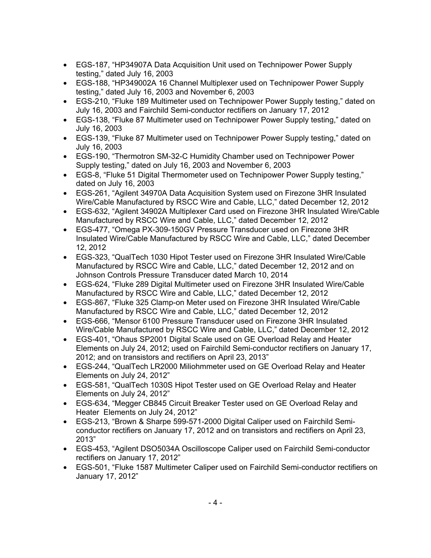- EGS-187, "HP34907A Data Acquisition Unit used on Technipower Power Supply testing," dated July 16, 2003
- EGS-188, "HP349002A 16 Channel Multiplexer used on Technipower Power Supply testing," dated July 16, 2003 and November 6, 2003
- EGS-210, "Fluke 189 Multimeter used on Technipower Power Supply testing," dated on July 16, 2003 and Fairchild Semi-conductor rectifiers on January 17, 2012
- EGS-138, "Fluke 87 Multimeter used on Technipower Power Supply testing," dated on July 16, 2003
- EGS-139, "Fluke 87 Multimeter used on Technipower Power Supply testing," dated on July 16, 2003
- EGS-190, "Thermotron SM-32-C Humidity Chamber used on Technipower Power Supply testing," dated on July 16, 2003 and November 6, 2003
- EGS-8, "Fluke 51 Digital Thermometer used on Technipower Power Supply testing," dated on July 16, 2003
- EGS-261, "Agilent 34970A Data Acquisition System used on Firezone 3HR Insulated Wire/Cable Manufactured by RSCC Wire and Cable, LLC," dated December 12, 2012
- EGS-632, "Agilent 34902A Multiplexer Card used on Firezone 3HR Insulated Wire/Cable Manufactured by RSCC Wire and Cable, LLC," dated December 12, 2012
- EGS-477, "Omega PX-309-150GV Pressure Transducer used on Firezone 3HR Insulated Wire/Cable Manufactured by RSCC Wire and Cable, LLC," dated December 12, 2012
- EGS-323, "QualTech 1030 Hipot Tester used on Firezone 3HR Insulated Wire/Cable Manufactured by RSCC Wire and Cable, LLC," dated December 12, 2012 and on Johnson Controls Pressure Transducer dated March 10, 2014
- EGS-624, "Fluke 289 Digital Multimeter used on Firezone 3HR Insulated Wire/Cable Manufactured by RSCC Wire and Cable, LLC," dated December 12, 2012
- EGS-867, "Fluke 325 Clamp-on Meter used on Firezone 3HR Insulated Wire/Cable Manufactured by RSCC Wire and Cable, LLC," dated December 12, 2012
- EGS-666, "Mensor 6100 Pressure Transducer used on Firezone 3HR Insulated Wire/Cable Manufactured by RSCC Wire and Cable, LLC," dated December 12, 2012
- EGS-401, "Ohaus SP2001 Digital Scale used on GE Overload Relay and Heater Elements on July 24, 2012; used on Fairchild Semi-conductor rectifiers on January 17, 2012; and on transistors and rectifiers on April 23, 2013"
- EGS-244, "QualTech LR2000 Miliohmmeter used on GE Overload Relay and Heater Elements on July 24, 2012"
- EGS-581, "QualTech 1030S Hipot Tester used on GE Overload Relay and Heater Elements on July 24, 2012"
- EGS-634, "Megger CB845 Circuit Breaker Tester used on GE Overload Relay and Heater Elements on July 24, 2012"
- EGS-213, "Brown & Sharpe 599-571-2000 Digital Caliper used on Fairchild Semiconductor rectifiers on January 17, 2012 and on transistors and rectifiers on April 23, 2013"
- EGS-453, "Agilent DSO5034A Oscilloscope Caliper used on Fairchild Semi-conductor rectifiers on January 17, 2012"
- EGS-501, "Fluke 1587 Multimeter Caliper used on Fairchild Semi-conductor rectifiers on January 17, 2012"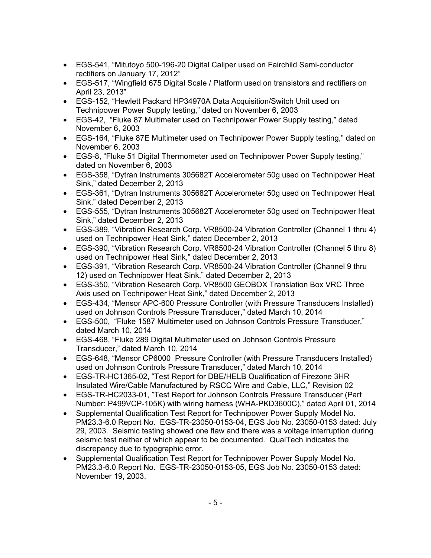- EGS-541, "Mitutoyo 500-196-20 Digital Caliper used on Fairchild Semi-conductor rectifiers on January 17, 2012"
- EGS-517, "Wingfield 675 Digital Scale / Platform used on transistors and rectifiers on April 23, 2013"
- EGS-152, "Hewlett Packard HP34970A Data Acquisition/Switch Unit used on Technipower Power Supply testing," dated on November 6, 2003
- EGS-42, "Fluke 87 Multimeter used on Technipower Power Supply testing," dated November 6, 2003
- EGS-164, "Fluke 87E Multimeter used on Technipower Power Supply testing," dated on November 6, 2003
- EGS-8, "Fluke 51 Digital Thermometer used on Technipower Power Supply testing," dated on November 6, 2003
- EGS-358, "Dytran Instruments 305682T Accelerometer 50g used on Technipower Heat Sink," dated December 2, 2013
- EGS-361, "Dytran Instruments 305682T Accelerometer 50g used on Technipower Heat Sink," dated December 2, 2013
- EGS-555, "Dytran Instruments 305682T Accelerometer 50g used on Technipower Heat Sink," dated December 2, 2013
- EGS-389, "Vibration Research Corp. VR8500-24 Vibration Controller (Channel 1 thru 4) used on Technipower Heat Sink," dated December 2, 2013
- EGS-390, "Vibration Research Corp. VR8500-24 Vibration Controller (Channel 5 thru 8) used on Technipower Heat Sink," dated December 2, 2013
- EGS-391, "Vibration Research Corp. VR8500-24 Vibration Controller (Channel 9 thru 12) used on Technipower Heat Sink," dated December 2, 2013
- EGS-350, "Vibration Research Corp. VR8500 GEOBOX Translation Box VRC Three Axis used on Technipower Heat Sink," dated December 2, 2013
- EGS-434, "Mensor APC-600 Pressure Controller (with Pressure Transducers Installed) used on Johnson Controls Pressure Transducer," dated March 10, 2014
- EGS-500, "Fluke 1587 Multimeter used on Johnson Controls Pressure Transducer," dated March 10, 2014
- EGS-468, "Fluke 289 Digital Multimeter used on Johnson Controls Pressure Transducer," dated March 10, 2014
- EGS-648, "Mensor CP6000 Pressure Controller (with Pressure Transducers Installed) used on Johnson Controls Pressure Transducer," dated March 10, 2014
- EGS-TR-HC1365-02, "Test Report for DBE/HELB Qualification of Firezone 3HR Insulated Wire/Cable Manufactured by RSCC Wire and Cable, LLC," Revision 02
- EGS-TR-HC2033-01, "Test Report for Johnson Controls Pressure Transducer (Part Number: P499VCP-105K) with wiring harness (WHA-PKD3600C)," dated April 01, 2014
- Supplemental Qualification Test Report for Technipower Power Supply Model No. PM23.3-6.0 Report No. EGS-TR-23050-0153-04, EGS Job No. 23050-0153 dated: July 29, 2003. Seismic testing showed one flaw and there was a voltage interruption during seismic test neither of which appear to be documented. QualTech indicates the discrepancy due to typographic error.
- Supplemental Qualification Test Report for Technipower Power Supply Model No. PM23.3-6.0 Report No. EGS-TR-23050-0153-05, EGS Job No. 23050-0153 dated: November 19, 2003.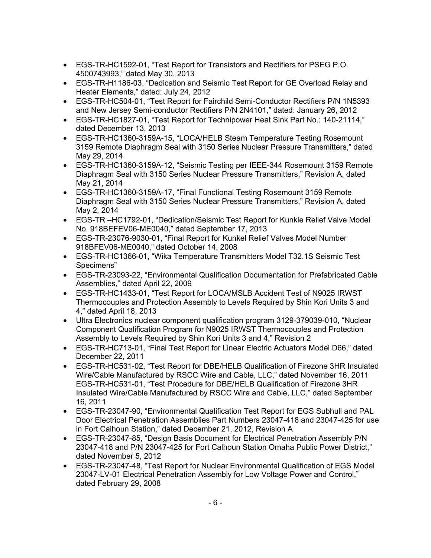- EGS-TR-HC1592-01, "Test Report for Transistors and Rectifiers for PSEG P.O. 4500743993," dated May 30, 2013
- EGS-TR-H1186-03, "Dedication and Seismic Test Report for GE Overload Relay and Heater Elements," dated: July 24, 2012
- EGS-TR-HC504-01, "Test Report for Fairchild Semi-Conductor Rectifiers P/N 1N5393 and New Jersey Semi-conductor Rectifiers P/N 2N4101," dated: January 26, 2012
- EGS-TR-HC1827-01, "Test Report for Technipower Heat Sink Part No.: 140-21114," dated December 13, 2013
- EGS-TR-HC1360-3159A-15, "LOCA/HELB Steam Temperature Testing Rosemount 3159 Remote Diaphragm Seal with 3150 Series Nuclear Pressure Transmitters," dated May 29, 2014
- EGS-TR-HC1360-3159A-12, "Seismic Testing per IEEE-344 Rosemount 3159 Remote Diaphragm Seal with 3150 Series Nuclear Pressure Transmitters," Revision A, dated May 21, 2014
- EGS-TR-HC1360-3159A-17, "Final Functional Testing Rosemount 3159 Remote Diaphragm Seal with 3150 Series Nuclear Pressure Transmitters," Revision A, dated May 2, 2014
- EGS-TR –HC1792-01, "Dedication/Seismic Test Report for Kunkle Relief Valve Model No. 918BEFEV06-ME0040," dated September 17, 2013
- EGS-TR-23076-9030-01, "Final Report for Kunkel Relief Valves Model Number 918BFEV06-ME0040," dated October 14, 2008
- EGS-TR-HC1366-01, "Wika Temperature Transmitters Model T32.1S Seismic Test Specimens"
- EGS-TR-23093-22, "Environmental Qualification Documentation for Prefabricated Cable Assemblies," dated April 22, 2009
- EGS-TR-HC1433-01, "Test Report for LOCA/MSLB Accident Test of N9025 IRWST Thermocouples and Protection Assembly to Levels Required by Shin Kori Units 3 and 4," dated April 18, 2013
- Ultra Electronics nuclear component qualification program 3129-379039-010, "Nuclear Component Qualification Program for N9025 IRWST Thermocouples and Protection Assembly to Levels Required by Shin Kori Units 3 and 4," Revision 2
- EGS-TR-HC713-01, "Final Test Report for Linear Electric Actuators Model D66," dated December 22, 2011
- EGS-TR-HC531-02, "Test Report for DBE/HELB Qualification of Firezone 3HR Insulated Wire/Cable Manufactured by RSCC Wire and Cable, LLC," dated November 16, 2011 EGS-TR-HC531-01, "Test Procedure for DBE/HELB Qualification of Firezone 3HR Insulated Wire/Cable Manufactured by RSCC Wire and Cable, LLC," dated September 16, 2011
- EGS-TR-23047-90, "Environmental Qualification Test Report for EGS Subhull and PAL Door Electrical Penetration Assemblies Part Numbers 23047-418 and 23047-425 for use in Fort Calhoun Station," dated December 21, 2012, Revision A
- EGS-TR-23047-85, "Design Basis Document for Electrical Penetration Assembly P/N 23047-418 and P/N 23047-425 for Fort Calhoun Station Omaha Public Power District," dated November 5, 2012
- EGS-TR-23047-48, "Test Report for Nuclear Environmental Qualification of EGS Model 23047-LV-01 Electrical Penetration Assembly for Low Voltage Power and Control," dated February 29, 2008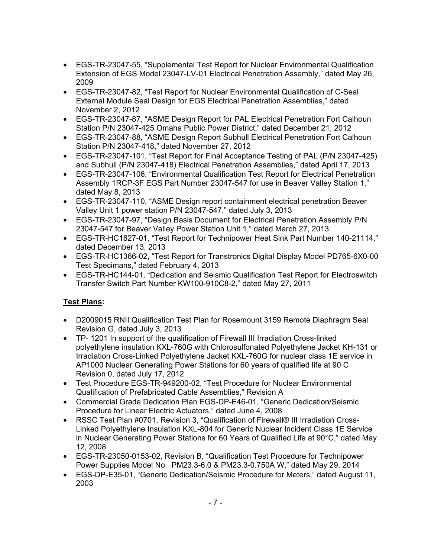- EGS-TR-23047-55, "Supplemental Test Report for Nuclear Environmental Qualification Extension of EGS Model 23047-LV-01 Electrical Penetration Assembly," dated May 26, 2009
- EGS-TR-23047-82, "Test Report for Nuclear Environmental Qualification of C-Seal External Module Seal Design for EGS Electrical Penetration Assemblies," dated November 2, 2012
- EGS-TR-23047-87, "ASME Design Report for PAL Electrical Penetration Fort Calhoun Station P/N 23047-425 Omaha Public Power District," dated December 21, 2012
- EGS-TR-23047-88, "ASME Design Report Subhull Electrical Penetration Fort Calhoun Station P/N 23047-418," dated November 27, 2012
- EGS-TR-23047-101, "Test Report for Final Acceptance Testing of PAL (P/N 23047-425) and Subhull (P/N 23047-418) Electrical Penetration Assemblies," dated April 17, 2013
- EGS-TR-23047-106, "Environmental Qualification Test Report for Electrical Penetration Assembly 1RCP-3F EGS Part Number 23047-547 for use in Beaver Valley Station 1," dated May 8, 2013
- EGS-TR-23047-110, "ASME Design report containment electrical penetration Beaver Valley Unit 1 power station P/N 23047-547," dated July 3, 2013
- EGS-TR-23047-97, "Design Basis Document for Electrical Penetration Assembly P/N 23047-547 for Beaver Valley Power Station Unit 1," dated March 27, 2013
- EGS-TR-HC1827-01, "Test Report for Technipower Heat Sink Part Number 140-21114," dated December 13, 2013
- EGS-TR-HC1366-02, "Test Report for Transtronics Digital Display Model PD765-6X0-00 Test Specimans," dated February 4, 2013
- EGS-TR-HC144-01, "Dedication and Seismic Qualification Test Report for Electroswitch Transfer Switch Part Number KW100-910C8-2," dated May 27, 2011

# **Test Plans:**

- D2009015 RNII Qualification Test Plan for Rosemount 3159 Remote Diaphragm Seal Revision G, dated July 3, 2013
- TP- 1201 In support of the qualification of Firewall III Irradiation Cross-linked polyethylene insulation KXL-760G with Chlorosulfonated Polyethylene Jacket KH-131 or Irradiation Cross-Linked Polyethylene Jacket KXL-760G for nuclear class 1E service in AP1000 Nuclear Generating Power Stations for 60 years of qualified life at 90 C Revision 0, dated July 17, 2012
- Test Procedure EGS-TR-949200-02, "Test Procedure for Nuclear Environmental Qualification of Prefabricated Cable Assemblies," Revision A
- Commercial Grade Dedication Plan EGS-DP-E46-01, "Generic Dedication/Seismic Procedure for Linear Electric Actuators," dated June 4, 2008
- RSSC Test Plan #0701, Revision 3, "Qualification of Firewall® III Irradiation Cross-Linked Polyethylene Insulation KXL-804 for Generic Nuclear Incident Class 1E Service in Nuclear Generating Power Stations for 60 Years of Qualified Life at 90°C," dated May 12, 2008
- EGS-TR-23050-0153-02, Revision B, "Qualification Test Procedure for Technipower Power Supplies Model No. PM23.3-6.0 & PM23.3-0.750A W," dated May 29, 2014
- EGS-DP-E35-01, "Generic Dedication/Seismic Procedure for Meters," dated August 11, 2003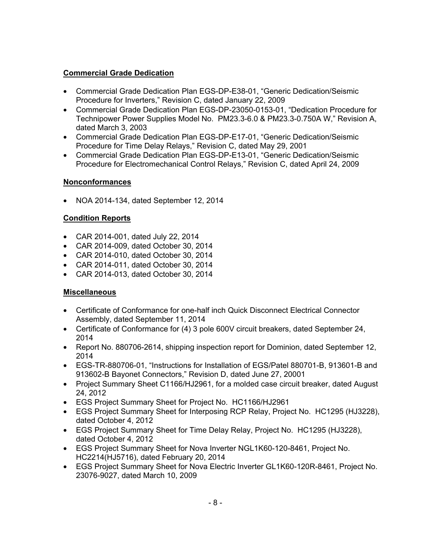# **Commercial Grade Dedication**

- Commercial Grade Dedication Plan EGS-DP-E38-01, "Generic Dedication/Seismic Procedure for Inverters," Revision C, dated January 22, 2009
- Commercial Grade Dedication Plan EGS-DP-23050-0153-01, "Dedication Procedure for Technipower Power Supplies Model No. PM23.3-6.0 & PM23.3-0.750A W," Revision A, dated March 3, 2003
- Commercial Grade Dedication Plan EGS-DP-E17-01, "Generic Dedication/Seismic Procedure for Time Delay Relays," Revision C, dated May 29, 2001
- Commercial Grade Dedication Plan EGS-DP-E13-01, "Generic Dedication/Seismic Procedure for Electromechanical Control Relays," Revision C, dated April 24, 2009

## **Nonconformances**

• NOA 2014-134, dated September 12, 2014

## **Condition Reports**

- CAR 2014-001, dated July 22, 2014
- CAR 2014-009, dated October 30, 2014
- CAR 2014-010, dated October 30, 2014
- CAR 2014-011, dated October 30, 2014
- CAR 2014-013, dated October 30, 2014

# **Miscellaneous**

- Certificate of Conformance for one-half inch Quick Disconnect Electrical Connector Assembly, dated September 11, 2014
- Certificate of Conformance for (4) 3 pole 600V circuit breakers, dated September 24, 2014
- Report No. 880706-2614, shipping inspection report for Dominion, dated September 12, 2014
- EGS-TR-880706-01, "Instructions for Installation of EGS/Patel 880701-B, 913601-B and 913602-B Bayonet Connectors," Revision D, dated June 27, 20001
- Project Summary Sheet C1166/HJ2961, for a molded case circuit breaker, dated August 24, 2012
- EGS Project Summary Sheet for Project No. HC1166/HJ2961
- EGS Project Summary Sheet for Interposing RCP Relay, Project No. HC1295 (HJ3228), dated October 4, 2012
- EGS Project Summary Sheet for Time Delay Relay, Project No. HC1295 (HJ3228), dated October 4, 2012
- EGS Project Summary Sheet for Nova Inverter NGL1K60-120-8461, Project No. HC2214(HJ5716), dated February 20, 2014
- EGS Project Summary Sheet for Nova Electric Inverter GL1K60-120R-8461, Project No. 23076-9027, dated March 10, 2009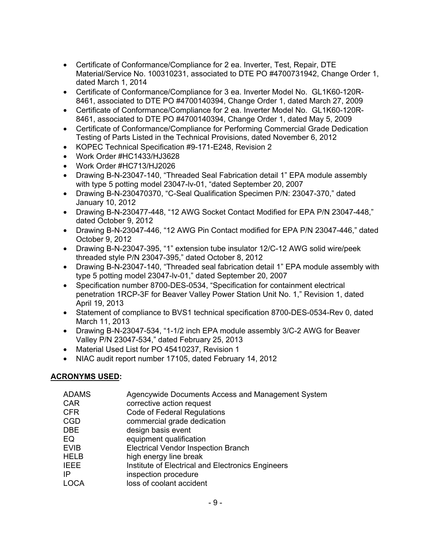- Certificate of Conformance/Compliance for 2 ea. Inverter, Test, Repair, DTE Material/Service No. 100310231, associated to DTE PO #4700731942, Change Order 1, dated March 1, 2014
- Certificate of Conformance/Compliance for 3 ea. Inverter Model No. GL1K60-120R-8461, associated to DTE PO #4700140394, Change Order 1, dated March 27, 2009
- Certificate of Conformance/Compliance for 2 ea. Inverter Model No. GL1K60-120R-8461, associated to DTE PO #4700140394, Change Order 1, dated May 5, 2009
- Certificate of Conformance/Compliance for Performing Commercial Grade Dedication Testing of Parts Listed in the Technical Provisions, dated November 6, 2012
- KOPEC Technical Specification #9-171-E248, Revision 2
- Work Order #HC1433/HJ3628
- Work Order #HC713/HJ2026
- Drawing B-N-23047-140, "Threaded Seal Fabrication detail 1" EPA module assembly with type 5 potting model 23047-lv-01, "dated September 20, 2007
- Drawing B-N-230470370, "C-Seal Qualification Specimen P/N: 23047-370," dated January 10, 2012
- Drawing B-N-230477-448, "12 AWG Socket Contact Modified for EPA P/N 23047-448," dated October 9, 2012
- Drawing B-N-23047-446, "12 AWG Pin Contact modified for EPA P/N 23047-446," dated October 9, 2012
- Drawing B-N-23047-395, "1" extension tube insulator 12/C-12 AWG solid wire/peek threaded style P/N 23047-395," dated October 8, 2012
- Drawing B-N-23047-140, "Threaded seal fabrication detail 1" EPA module assembly with type 5 potting model 23047-lv-01," dated September 20, 2007
- Specification number 8700-DES-0534, "Specification for containment electrical penetration 1RCP-3F for Beaver Valley Power Station Unit No. 1," Revision 1, dated April 19, 2013
- Statement of compliance to BVS1 technical specification 8700-DES-0534-Rev 0, dated March 11, 2013
- Drawing B-N-23047-534, "1-1/2 inch EPA module assembly 3/C-2 AWG for Beaver Valley P/N 23047-534," dated February 25, 2013
- Material Used List for PO 45410237, Revision 1
- NIAC audit report number 17105, dated February 14, 2012

#### **ACRONYMS USED:**

| <b>ADAMS</b> | Agencywide Documents Access and Management System |
|--------------|---------------------------------------------------|
| <b>CAR</b>   | corrective action request                         |
| <b>CFR</b>   | <b>Code of Federal Regulations</b>                |
| <b>CGD</b>   | commercial grade dedication                       |
| <b>DBE</b>   | design basis event                                |
| EQ           | equipment qualification                           |
| <b>EVIB</b>  | <b>Electrical Vendor Inspection Branch</b>        |
| <b>HELB</b>  | high energy line break                            |
| <b>IEEE</b>  | Institute of Electrical and Electronics Engineers |
| IP           | inspection procedure                              |
| <b>LOCA</b>  | loss of coolant accident                          |